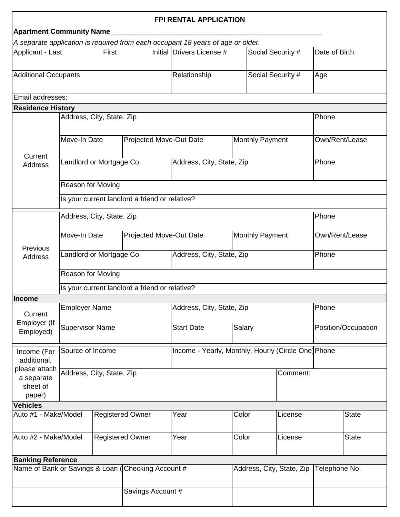| <b>FPI RENTAL APPLICATION</b><br><b>Apartment Community Name</b> |                                                |                         |                   |                                                                                 |       |                        |                |                     |              |  |  |
|------------------------------------------------------------------|------------------------------------------------|-------------------------|-------------------|---------------------------------------------------------------------------------|-------|------------------------|----------------|---------------------|--------------|--|--|
|                                                                  |                                                |                         |                   | A separate application is required from each occupant 18 years of age or older. |       |                        |                |                     |              |  |  |
| Applicant - Last<br>First                                        |                                                |                         |                   | Initial Drivers License #                                                       |       | Social Security #      |                | Date of Birth       |              |  |  |
| <b>Additional Occupants</b>                                      |                                                |                         |                   | Relationship                                                                    |       | Social Security #      |                | Age                 |              |  |  |
| Email addresses:                                                 |                                                |                         |                   |                                                                                 |       |                        |                |                     |              |  |  |
| <b>Residence History</b>                                         |                                                |                         |                   |                                                                                 |       |                        |                |                     |              |  |  |
|                                                                  | Address, City, State, Zip                      |                         |                   |                                                                                 |       |                        |                | Phone               |              |  |  |
| Current<br><b>Address</b>                                        | Move-In Date<br><b>Projected Move-Out Date</b> |                         |                   |                                                                                 |       | <b>Monthly Payment</b> |                | Own/Rent/Lease      |              |  |  |
|                                                                  | Landlord or Mortgage Co.                       |                         |                   | Address, City, State, Zip                                                       |       |                        | Phone          |                     |              |  |  |
|                                                                  | Reason for Moving                              |                         |                   |                                                                                 |       |                        |                |                     |              |  |  |
|                                                                  | Is your current landlord a friend or relative? |                         |                   |                                                                                 |       |                        |                |                     |              |  |  |
|                                                                  | Address, City, State, Zip                      |                         |                   |                                                                                 |       |                        |                | Phone               |              |  |  |
| Previous<br><b>Address</b>                                       | Move-In Date<br><b>Projected Move-Out Date</b> |                         |                   | <b>Monthly Payment</b>                                                          |       |                        | Own/Rent/Lease |                     |              |  |  |
|                                                                  | Landlord or Mortgage Co.                       |                         |                   | Address, City, State, Zip                                                       |       |                        | Phone          |                     |              |  |  |
|                                                                  | Reason for Moving                              |                         |                   |                                                                                 |       |                        |                |                     |              |  |  |
|                                                                  | Is your current landlord a friend or relative? |                         |                   |                                                                                 |       |                        |                |                     |              |  |  |
| <b>Income</b>                                                    |                                                |                         |                   |                                                                                 |       |                        |                |                     |              |  |  |
| Current<br>Employer (If<br>Employed)                             | <b>Employer Name</b>                           |                         |                   | Address, City, State, Zip                                                       |       |                        |                | Phone               |              |  |  |
|                                                                  | <b>Supervisor Name</b>                         |                         |                   | <b>Start Date</b>                                                               |       | Salary                 |                | Position/Occupation |              |  |  |
| Income (For<br>additional,                                       | Source of Income                               |                         |                   | Income - Yearly, Monthly, Hourly (Circle One) Phone                             |       |                        |                |                     |              |  |  |
| please attach<br>a separate<br>sheet of<br>paper)                | Address, City, State, Zip                      |                         |                   |                                                                                 |       |                        | Comment:       |                     |              |  |  |
| <b>Vehicles</b>                                                  |                                                |                         |                   |                                                                                 |       |                        |                |                     |              |  |  |
| Auto #1 - Make/Model                                             |                                                | <b>Registered Owner</b> |                   | Year                                                                            | Color |                        | License        |                     | <b>State</b> |  |  |
| Auto #2 - Make/Model                                             |                                                | <b>Registered Owner</b> |                   | Year                                                                            |       | Color<br>License       |                |                     | <b>State</b> |  |  |
| <b>Banking Reference</b>                                         |                                                |                         |                   |                                                                                 |       |                        |                |                     |              |  |  |
| Name of Bank or Savings & Loan (Checking Account #               |                                                |                         |                   | Address, City, State, Zip                                                       |       |                        | Telephone No.  |                     |              |  |  |
|                                                                  |                                                |                         | Savings Account # |                                                                                 |       |                        |                |                     |              |  |  |